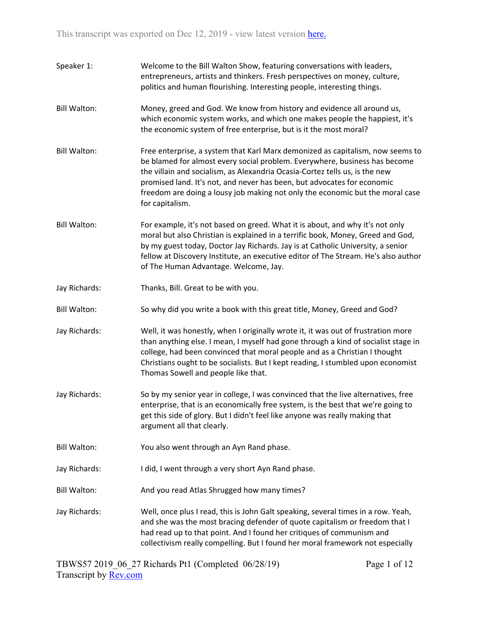| Speaker 1:          | Welcome to the Bill Walton Show, featuring conversations with leaders,<br>entrepreneurs, artists and thinkers. Fresh perspectives on money, culture,<br>politics and human flourishing. Interesting people, interesting things.                                                                                                                                                                                            |
|---------------------|----------------------------------------------------------------------------------------------------------------------------------------------------------------------------------------------------------------------------------------------------------------------------------------------------------------------------------------------------------------------------------------------------------------------------|
| <b>Bill Walton:</b> | Money, greed and God. We know from history and evidence all around us,<br>which economic system works, and which one makes people the happiest, it's<br>the economic system of free enterprise, but is it the most moral?                                                                                                                                                                                                  |
| <b>Bill Walton:</b> | Free enterprise, a system that Karl Marx demonized as capitalism, now seems to<br>be blamed for almost every social problem. Everywhere, business has become<br>the villain and socialism, as Alexandria Ocasia-Cortez tells us, is the new<br>promised land. It's not, and never has been, but advocates for economic<br>freedom are doing a lousy job making not only the economic but the moral case<br>for capitalism. |
| <b>Bill Walton:</b> | For example, it's not based on greed. What it is about, and why it's not only<br>moral but also Christian is explained in a terrific book, Money, Greed and God,<br>by my guest today, Doctor Jay Richards. Jay is at Catholic University, a senior<br>fellow at Discovery Institute, an executive editor of The Stream. He's also author<br>of The Human Advantage. Welcome, Jay.                                         |
| Jay Richards:       | Thanks, Bill. Great to be with you.                                                                                                                                                                                                                                                                                                                                                                                        |
| <b>Bill Walton:</b> | So why did you write a book with this great title, Money, Greed and God?                                                                                                                                                                                                                                                                                                                                                   |
| Jay Richards:       | Well, it was honestly, when I originally wrote it, it was out of frustration more<br>than anything else. I mean, I myself had gone through a kind of socialist stage in<br>college, had been convinced that moral people and as a Christian I thought<br>Christians ought to be socialists. But I kept reading, I stumbled upon economist<br>Thomas Sowell and people like that.                                           |
| Jay Richards:       | So by my senior year in college, I was convinced that the live alternatives, free<br>enterprise, that is an economically free system, is the best that we're going to<br>get this side of glory. But I didn't feel like anyone was really making that<br>argument all that clearly.                                                                                                                                        |
| <b>Bill Walton:</b> | You also went through an Ayn Rand phase.                                                                                                                                                                                                                                                                                                                                                                                   |
| Jay Richards:       | I did, I went through a very short Ayn Rand phase.                                                                                                                                                                                                                                                                                                                                                                         |
| <b>Bill Walton:</b> | And you read Atlas Shrugged how many times?                                                                                                                                                                                                                                                                                                                                                                                |
| Jay Richards:       | Well, once plus I read, this is John Galt speaking, several times in a row. Yeah,<br>and she was the most bracing defender of quote capitalism or freedom that I<br>had read up to that point. And I found her critiques of communism and<br>collectivism really compelling. But I found her moral framework not especially                                                                                                |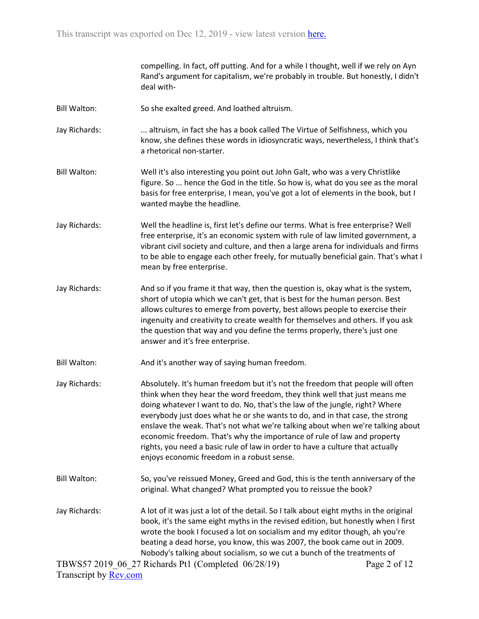compelling. In fact, off putting. And for a while I thought, well if we rely on Ayn Rand's argument for capitalism, we're probably in trouble. But honestly, I didn't deal with-

- Bill Walton: So she exalted greed. And loathed altruism.
- Jay Richards: ... ... altruism, in fact she has a book called The Virtue of Selfishness, which you know, she defines these words in idiosyncratic ways, nevertheless, I think that's a rhetorical non-starter.
- Bill Walton: Well it's also interesting you point out John Galt, who was a very Christlike figure. So ... hence the God in the title. So how is, what do you see as the moral basis for free enterprise, I mean, you've got a lot of elements in the book, but I wanted maybe the headline.
- Jay Richards: Well the headline is, first let's define our terms. What is free enterprise? Well free enterprise, it's an economic system with rule of law limited government, a vibrant civil society and culture, and then a large arena for individuals and firms to be able to engage each other freely, for mutually beneficial gain. That's what I mean by free enterprise.
- Jay Richards: And so if you frame it that way, then the question is, okay what is the system, short of utopia which we can't get, that is best for the human person. Best allows cultures to emerge from poverty, best allows people to exercise their ingenuity and creativity to create wealth for themselves and others. If you ask the question that way and you define the terms properly, there's just one answer and it's free enterprise.
- Bill Walton: And it's another way of saying human freedom.
- Jay Richards: Absolutely. It's human freedom but it's not the freedom that people will often think when they hear the word freedom, they think well that just means me doing whatever I want to do. No, that's the law of the jungle, right? Where everybody just does what he or she wants to do, and in that case, the strong enslave the weak. That's not what we're talking about when we're talking about economic freedom. That's why the importance of rule of law and property rights, you need a basic rule of law in order to have a culture that actually enjoys economic freedom in a robust sense.
- Bill Walton: So, you've reissued Money, Greed and God, this is the tenth anniversary of the original. What changed? What prompted you to reissue the book?
- Jay Richards: A lot of it was just a lot of the detail. So I talk about eight myths in the original book, it's the same eight myths in the revised edition, but honestly when I first wrote the book I focused a lot on socialism and my editor though, ah you're beating a dead horse, you know, this was 2007, the book came out in 2009. Nobody's talking about socialism, so we cut a bunch of the treatments of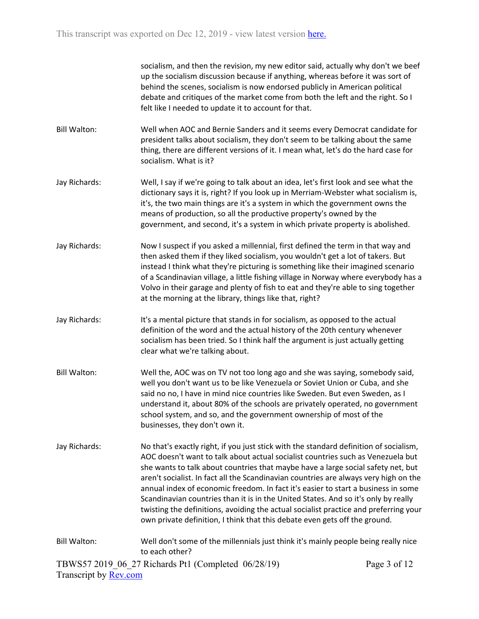socialism, and then the revision, my new editor said, actually why don't we beef up the socialism discussion because if anything, whereas before it was sort of behind the scenes, socialism is now endorsed publicly in American political debate and critiques of the market come from both the left and the right. So I felt like I needed to update it to account for that.

- Bill Walton: Well when AOC and Bernie Sanders and it seems every Democrat candidate for president talks about socialism, they don't seem to be talking about the same thing, there are different versions of it. I mean what, let's do the hard case for socialism. What is it?
- Jay Richards: Well, I say if we're going to talk about an idea, let's first look and see what the dictionary says it is, right? If you look up in Merriam-Webster what socialism is, it's, the two main things are it's a system in which the government owns the means of production, so all the productive property's owned by the government, and second, it's a system in which private property is abolished.
- Jay Richards: Now I suspect if you asked a millennial, first defined the term in that way and then asked them if they liked socialism, you wouldn't get a lot of takers. But instead I think what they're picturing is something like their imagined scenario of a Scandinavian village, a little fishing village in Norway where everybody has a Volvo in their garage and plenty of fish to eat and they're able to sing together at the morning at the library, things like that, right?
- Jay Richards: It's a mental picture that stands in for socialism, as opposed to the actual definition of the word and the actual history of the 20th century whenever socialism has been tried. So I think half the argument is just actually getting clear what we're talking about.
- Bill Walton: Well the, AOC was on TV not too long ago and she was saying, somebody said, well you don't want us to be like Venezuela or Soviet Union or Cuba, and she said no no, I have in mind nice countries like Sweden. But even Sweden, as I understand it, about 80% of the schools are privately operated, no government school system, and so, and the government ownership of most of the businesses, they don't own it.
- Jay Richards: No that's exactly right, if you just stick with the standard definition of socialism, AOC doesn't want to talk about actual socialist countries such as Venezuela but she wants to talk about countries that maybe have a large social safety net, but aren't socialist. In fact all the Scandinavian countries are always very high on the annual index of economic freedom. In fact it's easier to start a business in some Scandinavian countries than it is in the United States. And so it's only by really twisting the definitions, avoiding the actual socialist practice and preferring your own private definition, I think that this debate even gets off the ground.
- TBWS57 2019\_06\_27 Richards Pt1 (Completed 06/28/19) Bill Walton: Well don't some of the millennials just think it's mainly people being really nice to each other?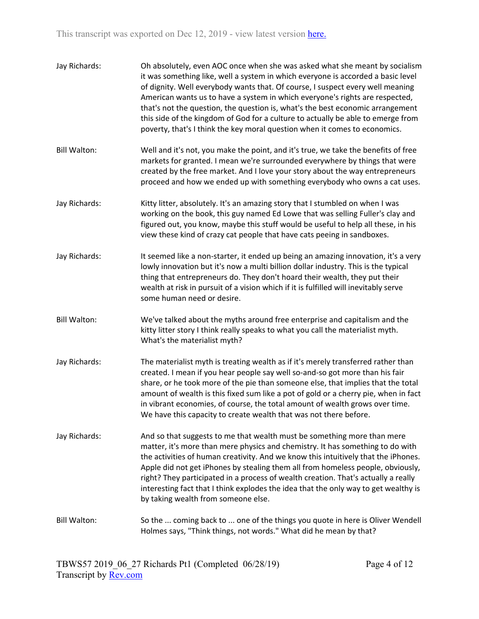| Jay Richards:       | Oh absolutely, even AOC once when she was asked what she meant by socialism<br>it was something like, well a system in which everyone is accorded a basic level<br>of dignity. Well everybody wants that. Of course, I suspect every well meaning<br>American wants us to have a system in which everyone's rights are respected,<br>that's not the question, the question is, what's the best economic arrangement<br>this side of the kingdom of God for a culture to actually be able to emerge from<br>poverty, that's I think the key moral question when it comes to economics. |
|---------------------|---------------------------------------------------------------------------------------------------------------------------------------------------------------------------------------------------------------------------------------------------------------------------------------------------------------------------------------------------------------------------------------------------------------------------------------------------------------------------------------------------------------------------------------------------------------------------------------|
| <b>Bill Walton:</b> | Well and it's not, you make the point, and it's true, we take the benefits of free<br>markets for granted. I mean we're surrounded everywhere by things that were<br>created by the free market. And I love your story about the way entrepreneurs<br>proceed and how we ended up with something everybody who owns a cat uses.                                                                                                                                                                                                                                                       |
| Jay Richards:       | Kitty litter, absolutely. It's an amazing story that I stumbled on when I was<br>working on the book, this guy named Ed Lowe that was selling Fuller's clay and<br>figured out, you know, maybe this stuff would be useful to help all these, in his<br>view these kind of crazy cat people that have cats peeing in sandboxes.                                                                                                                                                                                                                                                       |
| Jay Richards:       | It seemed like a non-starter, it ended up being an amazing innovation, it's a very<br>lowly innovation but it's now a multi billion dollar industry. This is the typical<br>thing that entrepreneurs do. They don't hoard their wealth, they put their<br>wealth at risk in pursuit of a vision which if it is fulfilled will inevitably serve<br>some human need or desire.                                                                                                                                                                                                          |
| <b>Bill Walton:</b> | We've talked about the myths around free enterprise and capitalism and the<br>kitty litter story I think really speaks to what you call the materialist myth.<br>What's the materialist myth?                                                                                                                                                                                                                                                                                                                                                                                         |
| Jay Richards:       | The materialist myth is treating wealth as if it's merely transferred rather than<br>created. I mean if you hear people say well so-and-so got more than his fair<br>share, or he took more of the pie than someone else, that implies that the total<br>amount of wealth is this fixed sum like a pot of gold or a cherry pie, when in fact<br>in vibrant economies, of course, the total amount of wealth grows over time.<br>We have this capacity to create wealth that was not there before.                                                                                     |
| Jay Richards:       | And so that suggests to me that wealth must be something more than mere<br>matter, it's more than mere physics and chemistry. It has something to do with<br>the activities of human creativity. And we know this intuitively that the iPhones.<br>Apple did not get iPhones by stealing them all from homeless people, obviously,<br>right? They participated in a process of wealth creation. That's actually a really<br>interesting fact that I think explodes the idea that the only way to get wealthy is<br>by taking wealth from someone else.                                |
| <b>Bill Walton:</b> | So the  coming back to  one of the things you quote in here is Oliver Wendell<br>Holmes says, "Think things, not words." What did he mean by that?                                                                                                                                                                                                                                                                                                                                                                                                                                    |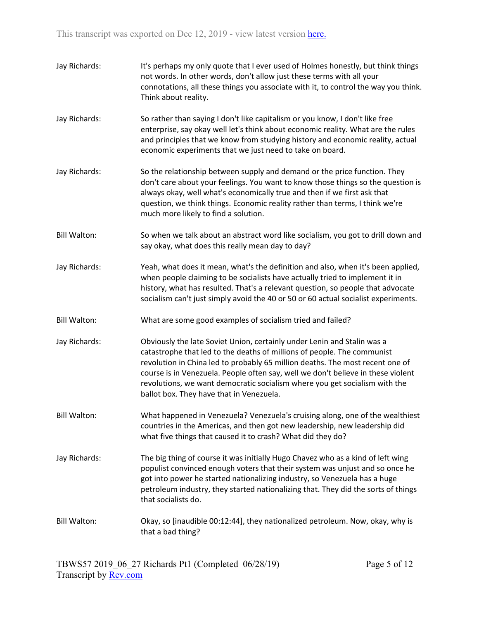| Jay Richards:       | It's perhaps my only quote that I ever used of Holmes honestly, but think things<br>not words. In other words, don't allow just these terms with all your<br>connotations, all these things you associate with it, to control the way you think.<br>Think about reality.                                                                                                                                                                          |
|---------------------|---------------------------------------------------------------------------------------------------------------------------------------------------------------------------------------------------------------------------------------------------------------------------------------------------------------------------------------------------------------------------------------------------------------------------------------------------|
| Jay Richards:       | So rather than saying I don't like capitalism or you know, I don't like free<br>enterprise, say okay well let's think about economic reality. What are the rules<br>and principles that we know from studying history and economic reality, actual<br>economic experiments that we just need to take on board.                                                                                                                                    |
| Jay Richards:       | So the relationship between supply and demand or the price function. They<br>don't care about your feelings. You want to know those things so the question is<br>always okay, well what's economically true and then if we first ask that<br>question, we think things. Economic reality rather than terms, I think we're<br>much more likely to find a solution.                                                                                 |
| <b>Bill Walton:</b> | So when we talk about an abstract word like socialism, you got to drill down and<br>say okay, what does this really mean day to day?                                                                                                                                                                                                                                                                                                              |
| Jay Richards:       | Yeah, what does it mean, what's the definition and also, when it's been applied,<br>when people claiming to be socialists have actually tried to implement it in<br>history, what has resulted. That's a relevant question, so people that advocate<br>socialism can't just simply avoid the 40 or 50 or 60 actual socialist experiments.                                                                                                         |
| <b>Bill Walton:</b> | What are some good examples of socialism tried and failed?                                                                                                                                                                                                                                                                                                                                                                                        |
| Jay Richards:       | Obviously the late Soviet Union, certainly under Lenin and Stalin was a<br>catastrophe that led to the deaths of millions of people. The communist<br>revolution in China led to probably 65 million deaths. The most recent one of<br>course is in Venezuela. People often say, well we don't believe in these violent<br>revolutions, we want democratic socialism where you get socialism with the<br>ballot box. They have that in Venezuela. |
| <b>Bill Walton:</b> | What happened in Venezuela? Venezuela's cruising along, one of the wealthiest<br>countries in the Americas, and then got new leadership, new leadership did<br>what five things that caused it to crash? What did they do?                                                                                                                                                                                                                        |
| Jay Richards:       | The big thing of course it was initially Hugo Chavez who as a kind of left wing<br>populist convinced enough voters that their system was unjust and so once he<br>got into power he started nationalizing industry, so Venezuela has a huge<br>petroleum industry, they started nationalizing that. They did the sorts of things<br>that socialists do.                                                                                          |
| <b>Bill Walton:</b> | Okay, so [inaudible 00:12:44], they nationalized petroleum. Now, okay, why is<br>that a bad thing?                                                                                                                                                                                                                                                                                                                                                |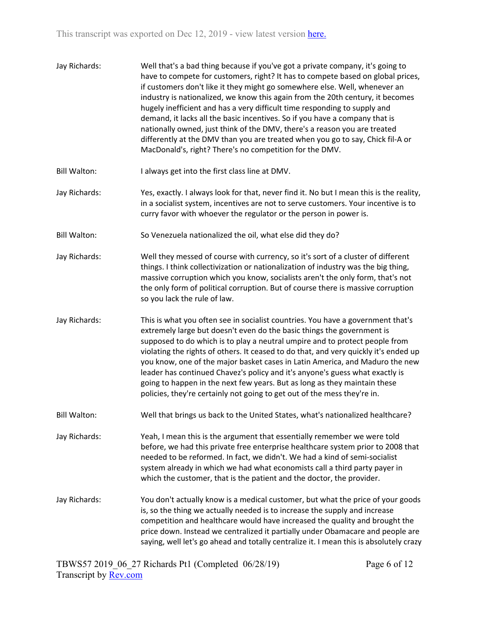| Jay Richards:       | Well that's a bad thing because if you've got a private company, it's going to<br>have to compete for customers, right? It has to compete based on global prices,<br>if customers don't like it they might go somewhere else. Well, whenever an<br>industry is nationalized, we know this again from the 20th century, it becomes<br>hugely inefficient and has a very difficult time responding to supply and<br>demand, it lacks all the basic incentives. So if you have a company that is<br>nationally owned, just think of the DMV, there's a reason you are treated<br>differently at the DMV than you are treated when you go to say, Chick fil-A or<br>MacDonald's, right? There's no competition for the DMV. |
|---------------------|-------------------------------------------------------------------------------------------------------------------------------------------------------------------------------------------------------------------------------------------------------------------------------------------------------------------------------------------------------------------------------------------------------------------------------------------------------------------------------------------------------------------------------------------------------------------------------------------------------------------------------------------------------------------------------------------------------------------------|
| <b>Bill Walton:</b> | I always get into the first class line at DMV.                                                                                                                                                                                                                                                                                                                                                                                                                                                                                                                                                                                                                                                                          |
| Jay Richards:       | Yes, exactly. I always look for that, never find it. No but I mean this is the reality,<br>in a socialist system, incentives are not to serve customers. Your incentive is to<br>curry favor with whoever the regulator or the person in power is.                                                                                                                                                                                                                                                                                                                                                                                                                                                                      |
| <b>Bill Walton:</b> | So Venezuela nationalized the oil, what else did they do?                                                                                                                                                                                                                                                                                                                                                                                                                                                                                                                                                                                                                                                               |
| Jay Richards:       | Well they messed of course with currency, so it's sort of a cluster of different<br>things. I think collectivization or nationalization of industry was the big thing,<br>massive corruption which you know, socialists aren't the only form, that's not<br>the only form of political corruption. But of course there is massive corruption<br>so you lack the rule of law.                                                                                                                                                                                                                                                                                                                                            |
| Jay Richards:       | This is what you often see in socialist countries. You have a government that's<br>extremely large but doesn't even do the basic things the government is<br>supposed to do which is to play a neutral umpire and to protect people from<br>violating the rights of others. It ceased to do that, and very quickly it's ended up<br>you know, one of the major basket cases in Latin America, and Maduro the new<br>leader has continued Chavez's policy and it's anyone's guess what exactly is<br>going to happen in the next few years. But as long as they maintain these<br>policies, they're certainly not going to get out of the mess they're in.                                                               |
| <b>Bill Walton:</b> | Well that brings us back to the United States, what's nationalized healthcare?                                                                                                                                                                                                                                                                                                                                                                                                                                                                                                                                                                                                                                          |
| Jay Richards:       | Yeah, I mean this is the argument that essentially remember we were told<br>before, we had this private free enterprise healthcare system prior to 2008 that<br>needed to be reformed. In fact, we didn't. We had a kind of semi-socialist<br>system already in which we had what economists call a third party payer in<br>which the customer, that is the patient and the doctor, the provider.                                                                                                                                                                                                                                                                                                                       |
| Jay Richards:       | You don't actually know is a medical customer, but what the price of your goods<br>is, so the thing we actually needed is to increase the supply and increase<br>competition and healthcare would have increased the quality and brought the<br>price down. Instead we centralized it partially under Obamacare and people are<br>saying, well let's go ahead and totally centralize it. I mean this is absolutely crazy                                                                                                                                                                                                                                                                                                |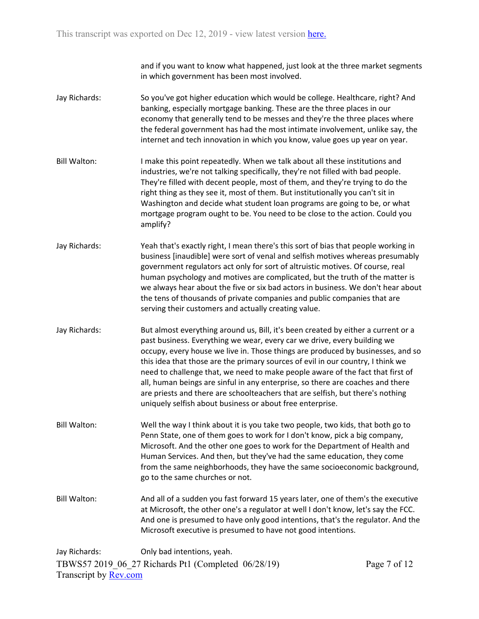and if you want to know what happened, just look at the three market segments in which government has been most involved.

- Jay Richards: So you've got higher education which would be college. Healthcare, right? And banking, especially mortgage banking. These are the three places in our economy that generally tend to be messes and they're the three places where the federal government has had the most intimate involvement, unlike say, the internet and tech innovation in which you know, value goes up year on year.
- Bill Walton: I make this point repeatedly. When we talk about all these institutions and industries, we're not talking specifically, they're not filled with bad people. They're filled with decent people, most of them, and they're trying to do the right thing as they see it, most of them. But institutionally you can't sit in Washington and decide what student loan programs are going to be, or what mortgage program ought to be. You need to be close to the action. Could you amplify?
- Jay Richards: Yeah that's exactly right, I mean there's this sort of bias that people working in business [inaudible] were sort of venal and selfish motives whereas presumably government regulators act only for sort of altruistic motives. Of course, real human psychology and motives are complicated, but the truth of the matter is we always hear about the five or six bad actors in business. We don't hear about the tens of thousands of private companies and public companies that are serving their customers and actually creating value.
- Jay Richards: But almost everything around us, Bill, it's been created by either a current or a past business. Everything we wear, every car we drive, every building we occupy, every house we live in. Those things are produced by businesses, and so this idea that those are the primary sources of evil in our country, I think we need to challenge that, we need to make people aware of the fact that first of all, human beings are sinful in any enterprise, so there are coaches and there are priests and there are schoolteachers that are selfish, but there's nothing uniquely selfish about business or about free enterprise.
- Bill Walton: Well the way I think about it is you take two people, two kids, that both go to Penn State, one of them goes to work for I don't know, pick a big company, Microsoft. And the other one goes to work for the Department of Health and Human Services. And then, but they've had the same education, they come from the same neighborhoods, they have the same socioeconomic background, go to the same churches or not.
- Bill Walton: And all of a sudden you fast forward 15 years later, one of them's the executive at Microsoft, the other one's a regulator at well I don't know, let's say the FCC. And one is presumed to have only good intentions, that's the regulator. And the Microsoft executive is presumed to have not good intentions.

TBWS57 2019\_06\_27 Richards Pt1 (Completed 06/28/19) Transcript by [Rev.com](https://www.rev.com/) Jay Richards: Only bad intentions, yeah.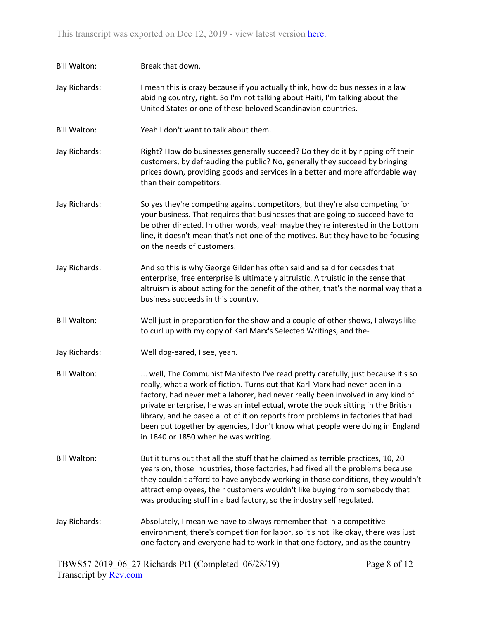| <b>Bill Walton:</b> | Break that down.                                                                                                                                                                                                                                                                                                                                                                                                                                                                                                                                    |
|---------------------|-----------------------------------------------------------------------------------------------------------------------------------------------------------------------------------------------------------------------------------------------------------------------------------------------------------------------------------------------------------------------------------------------------------------------------------------------------------------------------------------------------------------------------------------------------|
| Jay Richards:       | I mean this is crazy because if you actually think, how do businesses in a law<br>abiding country, right. So I'm not talking about Haiti, I'm talking about the<br>United States or one of these beloved Scandinavian countries.                                                                                                                                                                                                                                                                                                                    |
| <b>Bill Walton:</b> | Yeah I don't want to talk about them.                                                                                                                                                                                                                                                                                                                                                                                                                                                                                                               |
| Jay Richards:       | Right? How do businesses generally succeed? Do they do it by ripping off their<br>customers, by defrauding the public? No, generally they succeed by bringing<br>prices down, providing goods and services in a better and more affordable way<br>than their competitors.                                                                                                                                                                                                                                                                           |
| Jay Richards:       | So yes they're competing against competitors, but they're also competing for<br>your business. That requires that businesses that are going to succeed have to<br>be other directed. In other words, yeah maybe they're interested in the bottom<br>line, it doesn't mean that's not one of the motives. But they have to be focusing<br>on the needs of customers.                                                                                                                                                                                 |
| Jay Richards:       | And so this is why George Gilder has often said and said for decades that<br>enterprise, free enterprise is ultimately altruistic. Altruistic in the sense that<br>altruism is about acting for the benefit of the other, that's the normal way that a<br>business succeeds in this country.                                                                                                                                                                                                                                                        |
| <b>Bill Walton:</b> | Well just in preparation for the show and a couple of other shows, I always like<br>to curl up with my copy of Karl Marx's Selected Writings, and the-                                                                                                                                                                                                                                                                                                                                                                                              |
| Jay Richards:       | Well dog-eared, I see, yeah.                                                                                                                                                                                                                                                                                                                                                                                                                                                                                                                        |
| <b>Bill Walton:</b> | well, The Communist Manifesto I've read pretty carefully, just because it's so<br>really, what a work of fiction. Turns out that Karl Marx had never been in a<br>factory, had never met a laborer, had never really been involved in any kind of<br>private enterprise, he was an intellectual, wrote the book sitting in the British<br>library, and he based a lot of it on reports from problems in factories that had<br>been put together by agencies, I don't know what people were doing in England<br>in 1840 or 1850 when he was writing. |
| <b>Bill Walton:</b> | But it turns out that all the stuff that he claimed as terrible practices, 10, 20<br>years on, those industries, those factories, had fixed all the problems because<br>they couldn't afford to have anybody working in those conditions, they wouldn't<br>attract employees, their customers wouldn't like buying from somebody that<br>was producing stuff in a bad factory, so the industry self regulated.                                                                                                                                      |
| Jay Richards:       | Absolutely, I mean we have to always remember that in a competitive<br>environment, there's competition for labor, so it's not like okay, there was just<br>one factory and everyone had to work in that one factory, and as the country                                                                                                                                                                                                                                                                                                            |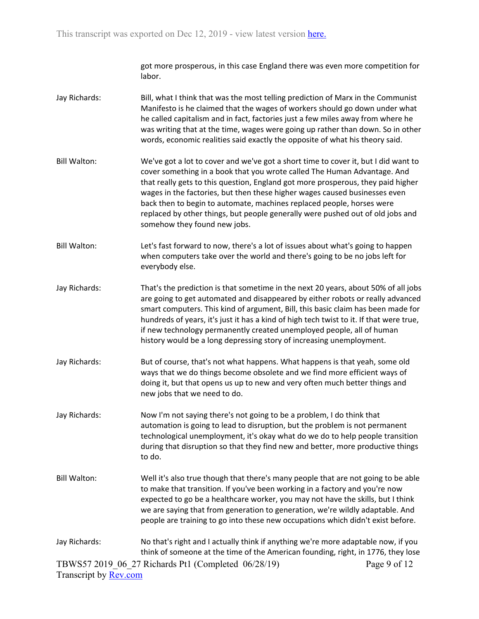got more prosperous, in this case England there was even more competition for labor.

- Jay Richards: Bill, what I think that was the most telling prediction of Marx in the Communist Manifesto is he claimed that the wages of workers should go down under what he called capitalism and in fact, factories just a few miles away from where he was writing that at the time, wages were going up rather than down. So in other words, economic realities said exactly the opposite of what his theory said.
- Bill Walton: We've got a lot to cover and we've got a short time to cover it, but I did want to cover something in a book that you wrote called The Human Advantage. And that really gets to this question, England got more prosperous, they paid higher wages in the factories, but then these higher wages caused businesses even back then to begin to automate, machines replaced people, horses were replaced by other things, but people generally were pushed out of old jobs and somehow they found new jobs.
- Bill Walton: Let's fast forward to now, there's a lot of issues about what's going to happen when computers take over the world and there's going to be no jobs left for everybody else.
- Jay Richards: That's the prediction is that sometime in the next 20 years, about 50% of all jobs are going to get automated and disappeared by either robots or really advanced smart computers. This kind of argument, Bill, this basic claim has been made for hundreds of years, it's just it has a kind of high tech twist to it. If that were true, if new technology permanently created unemployed people, all of human history would be a long depressing story of increasing unemployment.
- Jay Richards: But of course, that's not what happens. What happens is that yeah, some old ways that we do things become obsolete and we find more efficient ways of doing it, but that opens us up to new and very often much better things and new jobs that we need to do.
- Jay Richards: Now I'm not saying there's not going to be a problem, I do think that automation is going to lead to disruption, but the problem is not permanent technological unemployment, it's okay what do we do to help people transition during that disruption so that they find new and better, more productive things to do.
- Bill Walton: Well it's also true though that there's many people that are not going to be able to make that transition. If you've been working in a factory and you're now expected to go be a healthcare worker, you may not have the skills, but I think we are saying that from generation to generation, we're wildly adaptable. And people are training to go into these new occupations which didn't exist before.
- TBWS57 2019\_06\_27 Richards Pt1 (Completed 06/28/19) Transcript by [Rev.com](https://www.rev.com/) Page 9 of 12 Jay Richards: No that's right and I actually think if anything we're more adaptable now, if you think of someone at the time of the American founding, right, in 1776, they lose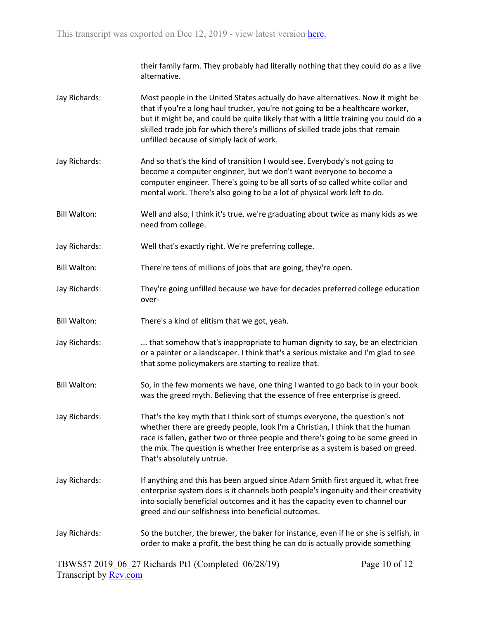their family farm. They probably had literally nothing that they could do as a live alternative.

- Jay Richards: Most people in the United States actually do have alternatives. Now it might be that if you're a long haul trucker, you're not going to be a healthcare worker, but it might be, and could be quite likely that with a little training you could do a skilled trade job for which there's millions of skilled trade jobs that remain unfilled because of simply lack of work.
- Jay Richards: And so that's the kind of transition I would see. Everybody's not going to become a computer engineer, but we don't want everyone to become a computer engineer. There's going to be all sorts of so called white collar and mental work. There's also going to be a lot of physical work left to do.
- Bill Walton: Well and also, I think it's true, we're graduating about twice as many kids as we need from college.
- Jay Richards: Well that's exactly right. We're preferring college.
- Bill Walton: There're tens of millions of jobs that are going, they're open.
- Jay Richards: They're going unfilled because we have for decades preferred college education over-
- Bill Walton: There's a kind of elitism that we got, yeah.
- Jay Richards: ... that somehow that's inappropriate to human dignity to say, be an electrician or a painter or a landscaper. I think that's a serious mistake and I'm glad to see that some policymakers are starting to realize that.
- Bill Walton: So, in the few moments we have, one thing I wanted to go back to in your book was the greed myth. Believing that the essence of free enterprise is greed.
- Jay Richards: That's the key myth that I think sort of stumps everyone, the question's not whether there are greedy people, look I'm a Christian, I think that the human race is fallen, gather two or three people and there's going to be some greed in the mix. The question is whether free enterprise as a system is based on greed. That's absolutely untrue.
- Jay Richards: If anything and this has been argued since Adam Smith first argued it, what free enterprise system does is it channels both people's ingenuity and their creativity into socially beneficial outcomes and it has the capacity even to channel our greed and our selfishness into beneficial outcomes.
- Jay Richards: So the butcher, the brewer, the baker for instance, even if he or she is selfish, in order to make a profit, the best thing he can do is actually provide something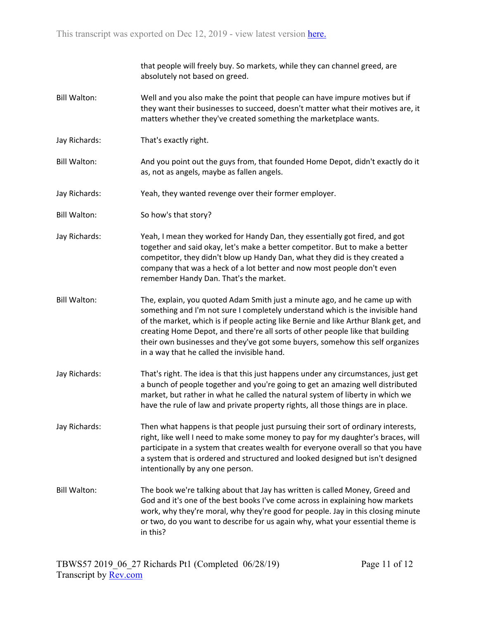that people will freely buy. So markets, while they can channel greed, are absolutely not based on greed.

- Bill Walton: Well and you also make the point that people can have impure motives but if they want their businesses to succeed, doesn't matter what their motives are, it matters whether they've created something the marketplace wants.
- Jay Richards: That's exactly right.
- Bill Walton: And you point out the guys from, that founded Home Depot, didn't exactly do it as, not as angels, maybe as fallen angels.
- Jay Richards: Yeah, they wanted revenge over their former employer.
- Bill Walton: So how's that story?
- Jay Richards: Yeah, I mean they worked for Handy Dan, they essentially got fired, and got together and said okay, let's make a better competitor. But to make a better competitor, they didn't blow up Handy Dan, what they did is they created a company that was a heck of a lot better and now most people don't even remember Handy Dan. That's the market.
- Bill Walton: The, explain, you quoted Adam Smith just a minute ago, and he came up with something and I'm not sure I completely understand which is the invisible hand of the market, which is if people acting like Bernie and like Arthur Blank get, and creating Home Depot, and there're all sorts of other people like that building their own businesses and they've got some buyers, somehow this self organizes in a way that he called the invisible hand.
- Jay Richards: That's right. The idea is that this just happens under any circumstances, just get a bunch of people together and you're going to get an amazing well distributed market, but rather in what he called the natural system of liberty in which we have the rule of law and private property rights, all those things are in place.
- Jay Richards: Then what happens is that people just pursuing their sort of ordinary interests, right, like well I need to make some money to pay for my daughter's braces, will participate in a system that creates wealth for everyone overall so that you have a system that is ordered and structured and looked designed but isn't designed intentionally by any one person.
- Bill Walton: The book we're talking about that Jay has written is called Money, Greed and God and it's one of the best books I've come across in explaining how markets work, why they're moral, why they're good for people. Jay in this closing minute or two, do you want to describe for us again why, what your essential theme is in this?